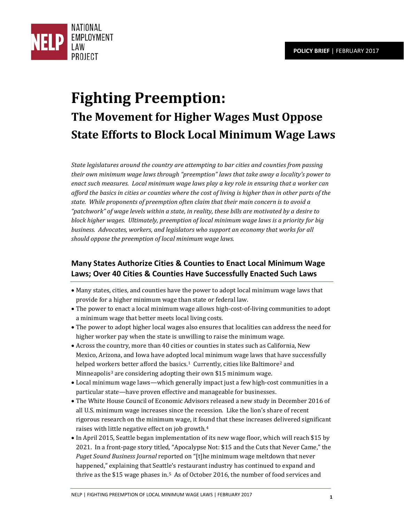

# **Fighting Preemption: The Movement for Higher Wages Must Oppose State Efforts to Block Local Minimum Wage Laws**

*State legislatures around the country are attempting to bar cities and counties from passing their own minimum wage laws through "preemption" laws that take away a locality's power to enact such measures. Local minimum wage laws play a key role in ensuring that a worker can afford the basics in cities or counties where the cost of living is higher than in other parts of the state. While proponents of preemption often claim that their main concern is to avoid a "patchwork" of wage levels within a state, in reality, these bills are motivated by a desire to block higher wages. Ultimately, preemption of local minimum wage laws is a priority for big business. Advocates, workers, and legislators who support an economy that works for all should oppose the preemption of local minimum wage laws.*

## **Many States Authorize Cities & Counties to Enact Local Minimum Wage Laws; Over 40 Cities & Counties Have Successfully Enacted Such Laws**

- Many states, cities, and counties have the power to adopt local minimum wage laws that provide for a higher minimum wage than state or federal law.
- The power to enact a local minimum wage allows high-cost-of-living communities to adopt a minimum wage that better meets local living costs.
- The power to adopt higher local wages also ensures that localities can address the need for higher worker pay when the state is unwilling to raise the minimum wage.
- Across the country, more than 40 cities or counties in states such as California, New Mexico, Arizona, and Iowa have adopted local minimum wage laws that have successfully helped wor[ke](#page-4-2)rs better afford the basics.<sup>[1](#page-4-0)</sup> Currently, cities like Baltimore<sup>[2](#page-4-1)</sup> and Minneapolis<sup>3</sup> are considering adopting their own \$15 minimum wage.
- Local minimum wage laws—which generally impact just a few high-cost communities in a particular state—have proven effective and manageable for businesses.
- The White House Council of Economic Advisors released a new study in December 2016 of all U.S. minimum wage increases since the recession. Like the lion's share of recent rigorous research on the minimum wage, it fo[un](#page-4-3)d that these increases delivered significant raises with little negative effect on job growth.4
- In April 2015, Seattle began implementation of its new wage floor, which will reach \$15 by 2021. In a front-page story titled, "Apocalypse Not: \$15 and the Cuts that Never Came," the *Puget Sound Business Journal* reported on "[t]he minimum wage meltdown that never happened," explaining that Seattl[e](#page-4-4)'s restaurant industry has continued to expand and thrive as the \$15 wage phases in.5 As of October 2016, the number of food services and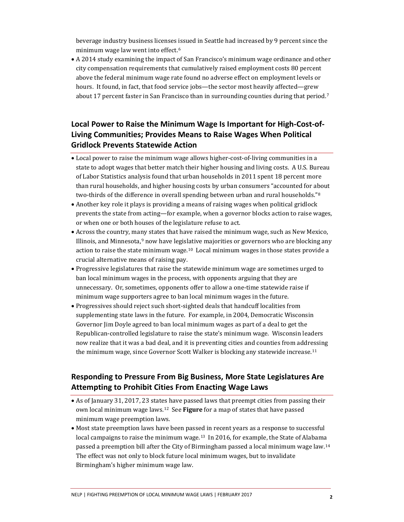beverage industry business licenses issued in Seattle had increased by 9 percent since the minimum wage law went into effect.[6](#page-4-5)

• A 2014 study examining the impact of San Francisco's minimum wage ordinance and other city compensation requirements that cumulatively raised employment costs 80 percent above the federal minimum wage rate found no adverse effect on employment levels or hours. It found, in fact, that food service jobs—the sector most heavily affected—grew about 17 percent faster in San Francisco than in surrounding counties during that period.[7](#page-4-6)

## **Local Power to Raise the Minimum Wage Is Important for High-Cost-of-Living Communities; Provides Means to Raise Wages When Political Gridlock Prevents Statewide Action**

- Local power to raise the minimum wage allows higher-cost-of-living communities in a state to adopt wages that better match their higher housing and living costs. A U.S. Bureau of Labor Statistics analysis found that urban households in 2011 spent 18 percent more than rural households, and higher housing costs by urban consumers "accounted for about two-thirds of the difference in overall spending between urban and rural households."[8](#page-4-7)
- Another key role it plays is providing a means of raising wages when political gridlock prevents the state from acting—for example, when a governor blocks action to raise wages, or when one or both houses of the legislature refuse to act.
- Across the country, many states that have raised the minimum wage, such as New Mexico, Illinois, and Minnesota, $9$  now have legislative majorities or governors who are blocking any action to raise the state minimum wage.[10](#page-4-9) Local minimum wages in those states provide a crucial alternative means of raising pay.
- Progressive legislatures that raise the statewide minimum wage are sometimes urged to ban local minimum wages in the process, with opponents arguing that they are unnecessary. Or, sometimes, opponents offer to allow a one-time statewide raise if minimum wage supporters agree to ban local minimum wages in the future.
- Progressives should reject such short-sighted deals that handcuff localities from supplementing state laws in the future. For example, in 2004, Democratic Wisconsin Governor Jim Doyle agreed to ban local minimum wages as part of a deal to get the Republican-controlled legislature to raise the state's minimum wage. Wisconsin leaders now realize that it was a bad deal, and it is preventing cities and counties from addressing the minimum wage, since Governor Scott Walker is blocking any statewide increase.<sup>[11](#page-4-10)</sup>

## **Responding to Pressure From Big Business, More State Legislatures Are Attempting to Prohibit Cities From Enacting Wage Laws**

- As of January 31, 2017, 23 states have passed laws that preempt cities from passing their own local minimum wage laws.[12](#page-4-11) See **Figure** for a map of states that have passed minimum wage preemption laws.
- Most state preemption laws have been passed in recent years as a response to successful local campaigns to raise the minimum wage.<sup>[13](#page-4-12)</sup> In 2016, for example, the State of Alabama passed a preemption bill after the City of Birmingham passed a local minimum wage law.[14](#page-4-13)  The effect was not only to block future local minimum wages, but to invalidate Birmingham's higher minimum wage law.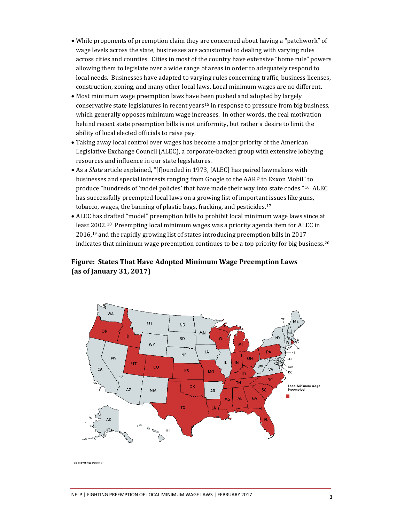- While proponents of preemption claim they are concerned about having a "patchwork" of wage levels across the state, businesses are accustomed to dealing with varying rules across cities and counties. Cities in most of the country have extensive "home rule" powers allowing them to legislate over a wide range of areas in order to adequately respond to local needs. Businesses have adapted to varying rules concerning traffic, business licenses, construction, zoning, and many other local laws. Local minimum wages are no different.
- Most minimum wage preemption laws have been pushed and adopted by largely conservative state legislatures in recent years<sup>[15](#page-4-14)</sup> in response to pressure from big business, which generally opposes minimum wage increases. In other words, the real motivation behind recent state preemption bills is not uniformity, but rather a desire to limit the ability of local elected officials to raise pay.
- Taking away local control over wages has become a major priority of the American Legislative Exchange Council (ALEC), a corporate-backed group with extensive lobbying resources and influence in our state legislatures.
- As a *Slate* article explained, "[f]ounded in 1973, [ALEC] has paired lawmakers with businesses and special interests ranging from Google to the AARP to Exxon Mobil" to produce "hundreds of 'model policies' that have made their way into state codes."[16](#page-4-15) ALEC has successfully preempted local laws on a growing list of important issues like guns, tobacco, wages, the banning of plastic bags, fracking, and pesticides.[17](#page-4-16)
- ALEC has drafted "model" preemption bills to prohibit local minimum wage laws since at least [20](#page-4-18)02.[18](#page-4-17) Preempting local minimum wages was a priority agenda item for ALEC in 2016,19 and the rapidly growing list of states introducing preemption bills in 2017 indicates that minimum wage preemption continues to be a top priority for big business.[20](#page-4-19)

### **Figure: States That Have Adopted Minimum Wage Preemption Laws (as of January 31, 2017)**



ated with manchart.net a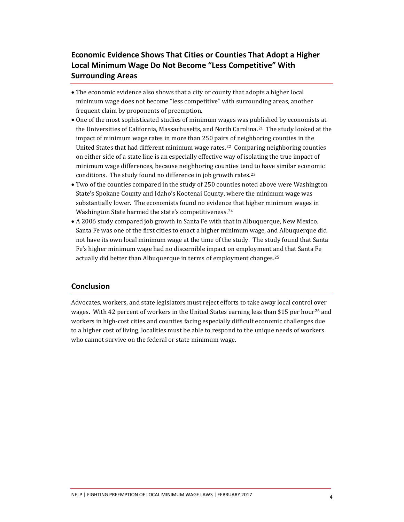## **Economic Evidence Shows That Cities or Counties That Adopt a Higher Local Minimum Wage Do Not Become "Less Competitive" With Surrounding Areas**

- The economic evidence also shows that a city or county that adopts a higher local minimum wage does not become "less competitive" with surrounding areas, another frequent claim by proponents of preemption.
- One of the most sophisticated studies of minimum wages was published by economists at the Universities of California, Massachusetts, and North Carolina.[21](#page-4-20) The study looked at the impact of minimum wage rates in more than 250 pairs of neighboring counties in the United States that had different minimum wage rates.[22](#page-4-21) Comparing neighboring counties on either side of a state line is an especially effective way of isolating the true impact of minimum wage differences, because neighboring counties tend to have similar economic conditions. The study found no difference in job growth rates.<sup>[23](#page-4-22)</sup>
- Two of the counties compared in the study of 250 counties noted above were Washington State's Spokane County and Idaho's Kootenai County, where the minimum wage was substantially lower. The economists found no evidence that higher minimum wages in Washington State harmed the state's competitiveness.<sup>[24](#page-4-23)</sup>
- A 2006 study compared job growth in Santa Fe with that in Albuquerque, New Mexico. Santa Fe was one of the first cities to enact a higher minimum wage, and Albuquerque did not have its own local minimum wage at the time of the study. The study found that Santa Fe's higher minimum wage had no discernible impact on employment and that Santa Fe actually did better than Albuquerque in terms of employment changes.[25](#page-4-24)

### **Conclusion**

Advocates, workers, and state legislators must reject efforts to take away local control over wages. With 42 percent of workers in the United States earning less than \$15 per hour<sup>[26](#page-4-25)</sup> and workers in high-cost cities and counties facing especially difficult economic challenges due to a higher cost of living, localities must be able to respond to the unique needs of workers who cannot survive on the federal or state minimum wage.